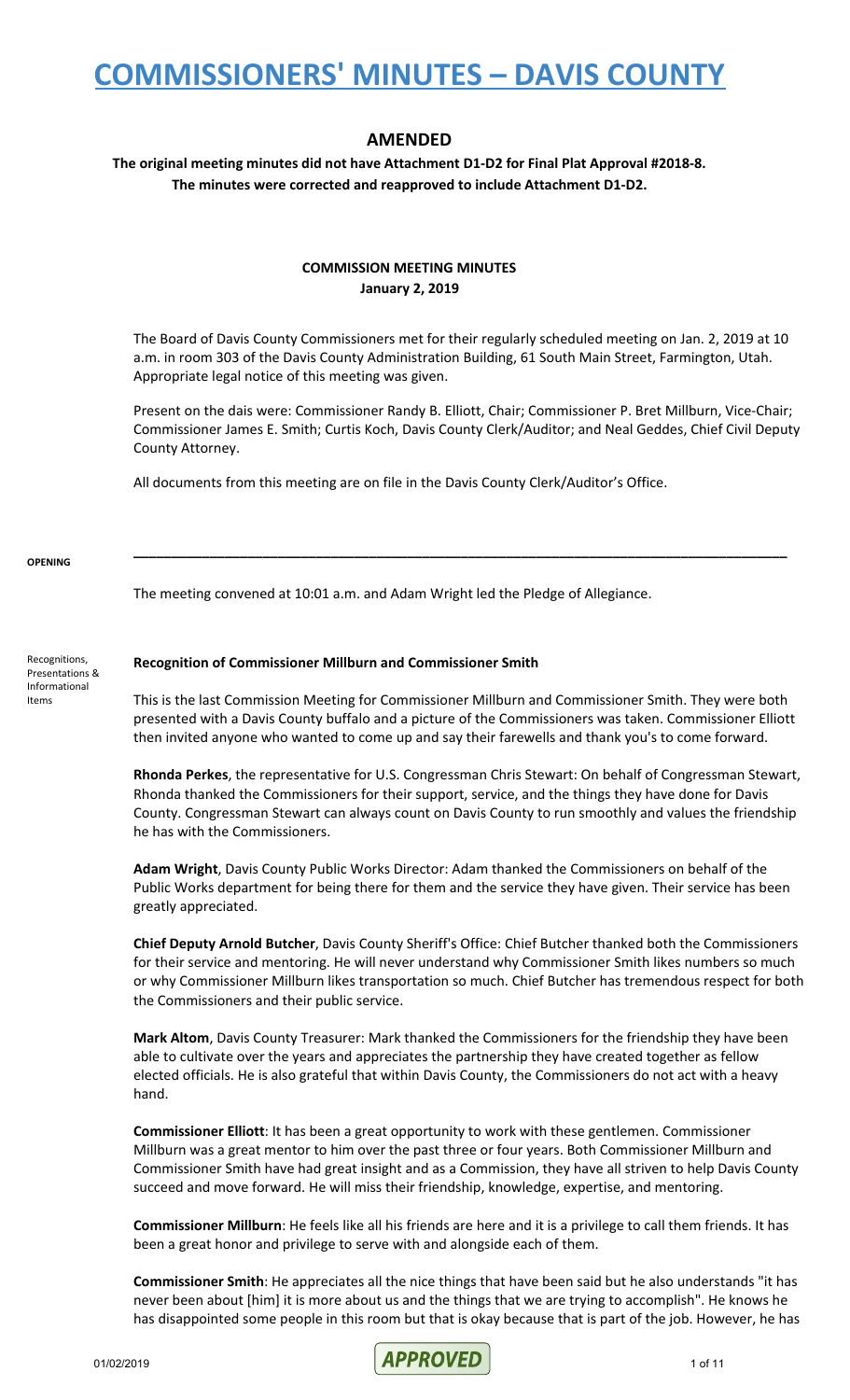#### **AMENDED**

**The original meeting minutes did not have Attachment D1-D2 for Final Plat Approval #2018-8. The minutes were corrected and reapproved to include Attachment D1-D2.**

#### **COMMISSION MEETING MINUTES January 2, 2019**

The Board of Davis County Commissioners met for their regularly scheduled meeting on Jan. 2, 2019 at 10 a.m. in room 303 of the Davis County Administration Building, 61 South Main Street, Farmington, Utah. Appropriate legal notice of this meeting was given.

Present on the dais were: Commissioner Randy B. Elliott, Chair; Commissioner P. Bret Millburn, Vice-Chair; Commissioner James E. Smith; Curtis Koch, Davis County Clerk/Auditor; and Neal Geddes, Chief Civil Deputy County Attorney.

**\_\_\_\_\_\_\_\_\_\_\_\_\_\_\_\_\_\_\_\_\_\_\_\_\_\_\_\_\_\_\_\_\_\_\_\_\_\_\_\_\_\_\_\_\_\_\_\_\_\_\_\_\_\_\_\_\_\_\_\_\_\_\_\_\_\_\_\_\_\_\_\_\_\_\_\_\_\_\_\_\_\_\_\_\_\_**

All documents from this meeting are on file in the Davis County Clerk/Auditor's Office.

**OPENING**

The meeting convened at 10:01 a.m. and Adam Wright led the Pledge of Allegiance.

Recognitions, Presentations & Informational Items

#### **Recognition of Commissioner Millburn and Commissioner Smith**

This is the last Commission Meeting for Commissioner Millburn and Commissioner Smith. They were both presented with a Davis County buffalo and a picture of the Commissioners was taken. Commissioner Elliott then invited anyone who wanted to come up and say their farewells and thank you's to come forward.

**Rhonda Perkes**, the representative for U.S. Congressman Chris Stewart: On behalf of Congressman Stewart, Rhonda thanked the Commissioners for their support, service, and the things they have done for Davis County. Congressman Stewart can always count on Davis County to run smoothly and values the friendship he has with the Commissioners.

**Adam Wright**, Davis County Public Works Director: Adam thanked the Commissioners on behalf of the Public Works department for being there for them and the service they have given. Their service has been greatly appreciated.

**Chief Deputy Arnold Butcher**, Davis County Sheriff's Office: Chief Butcher thanked both the Commissioners for their service and mentoring. He will never understand why Commissioner Smith likes numbers so much or why Commissioner Millburn likes transportation so much. Chief Butcher has tremendous respect for both the Commissioners and their public service.

**Mark Altom**, Davis County Treasurer: Mark thanked the Commissioners for the friendship they have been able to cultivate over the years and appreciates the partnership they have created together as fellow elected officials. He is also grateful that within Davis County, the Commissioners do not act with a heavy hand.

**Commissioner Elliott**: It has been a great opportunity to work with these gentlemen. Commissioner Millburn was a great mentor to him over the past three or four years. Both Commissioner Millburn and Commissioner Smith have had great insight and as a Commission, they have all striven to help Davis County succeed and move forward. He will miss their friendship, knowledge, expertise, and mentoring.

**Commissioner Millburn**: He feels like all his friends are here and it is a privilege to call them friends. It has been a great honor and privilege to serve with and alongside each of them.

**Commissioner Smith**: He appreciates all the nice things that have been said but he also understands "it has never been about [him] it is more about us and the things that we are trying to accomplish". He knows he has disappointed some people in this room but that is okay because that is part of the job. However, he has

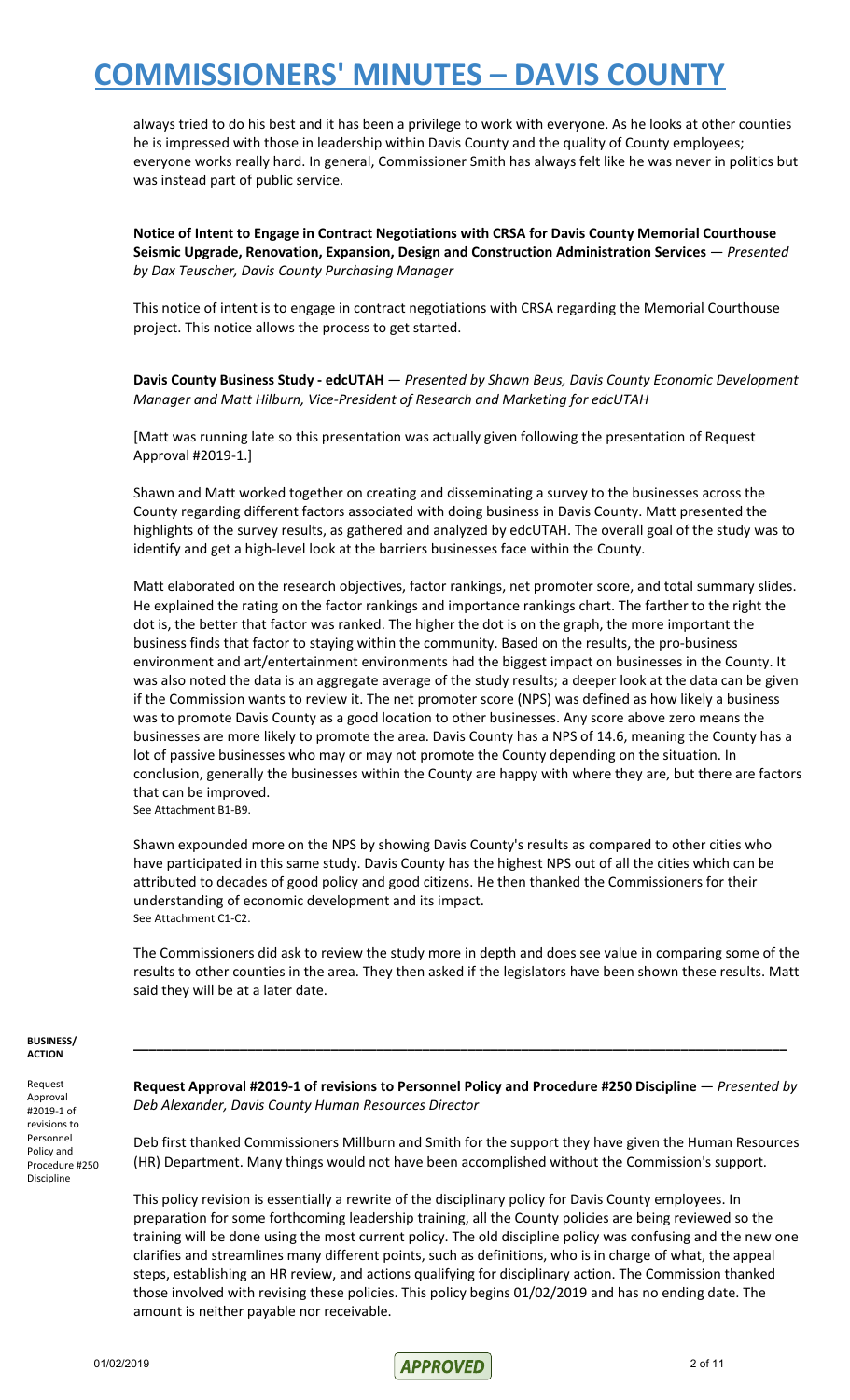always tried to do his best and it has been a privilege to work with everyone. As he looks at other counties he is impressed with those in leadership within Davis County and the quality of County employees; everyone works really hard. In general, Commissioner Smith has always felt like he was never in politics but was instead part of public service.

**Notice of Intent to Engage in Contract Negotiations with CRSA for Davis County Memorial Courthouse Seismic Upgrade, Renovation, Expansion, Design and Construction Administration Services** — *Presented by Dax Teuscher, Davis County Purchasing Manager*

This notice of intent is to engage in contract negotiations with CRSA regarding the Memorial Courthouse project. This notice allows the process to get started.

**Davis County Business Study - edcUTAH** — *Presented by Shawn Beus, Davis County Economic Development Manager and Matt Hilburn, Vice-President of Research and Marketing for edcUTAH*

[Matt was running late so this presentation was actually given following the presentation of Request Approval #2019-1.]

Shawn and Matt worked together on creating and disseminating a survey to the businesses across the County regarding different factors associated with doing business in Davis County. Matt presented the highlights of the survey results, as gathered and analyzed by edcUTAH. The overall goal of the study was to identify and get a high-level look at the barriers businesses face within the County.

Matt elaborated on the research objectives, factor rankings, net promoter score, and total summary slides. He explained the rating on the factor rankings and importance rankings chart. The farther to the right the dot is, the better that factor was ranked. The higher the dot is on the graph, the more important the business finds that factor to staying within the community. Based on the results, the pro-business environment and art/entertainment environments had the biggest impact on businesses in the County. It was also noted the data is an aggregate average of the study results; a deeper look at the data can be given if the Commission wants to review it. The net promoter score (NPS) was defined as how likely a business was to promote Davis County as a good location to other businesses. Any score above zero means the businesses are more likely to promote the area. Davis County has a NPS of 14.6, meaning the County has a lot of passive businesses who may or may not promote the County depending on the situation. In conclusion, generally the businesses within the County are happy with where they are, but there are factors that can be improved. See Attachment B1-B9.

Shawn expounded more on the NPS by showing Davis County's results as compared to other cities who have participated in this same study. Davis County has the highest NPS out of all the cities which can be attributed to decades of good policy and good citizens. He then thanked the Commissioners for their understanding of economic development and its impact. See Attachment C1-C2.

The Commissioners did ask to review the study more in depth and does see value in comparing some of the results to other counties in the area. They then asked if the legislators have been shown these results. Matt said they will be at a later date.

#### **BUSINESS/ ACTION**

Request Approval #2019-1 of revisions to Personnel Policy and Procedure #250 Discipline

**Request Approval #2019-1 of revisions to Personnel Policy and Procedure #250 Discipline** — *Presented by Deb Alexander, Davis County Human Resources Director*

**\_\_\_\_\_\_\_\_\_\_\_\_\_\_\_\_\_\_\_\_\_\_\_\_\_\_\_\_\_\_\_\_\_\_\_\_\_\_\_\_\_\_\_\_\_\_\_\_\_\_\_\_\_\_\_\_\_\_\_\_\_\_\_\_\_\_\_\_\_\_\_\_\_\_\_\_\_\_\_\_\_\_\_\_\_\_**

Deb first thanked Commissioners Millburn and Smith for the support they have given the Human Resources (HR) Department. Many things would not have been accomplished without the Commission's support.

This policy revision is essentially a rewrite of the disciplinary policy for Davis County employees. In preparation for some forthcoming leadership training, all the County policies are being reviewed so the training will be done using the most current policy. The old discipline policy was confusing and the new one clarifies and streamlines many different points, such as definitions, who is in charge of what, the appeal steps, establishing an HR review, and actions qualifying for disciplinary action. The Commission thanked those involved with revising these policies. This policy begins 01/02/2019 and has no ending date. The amount is neither payable nor receivable.

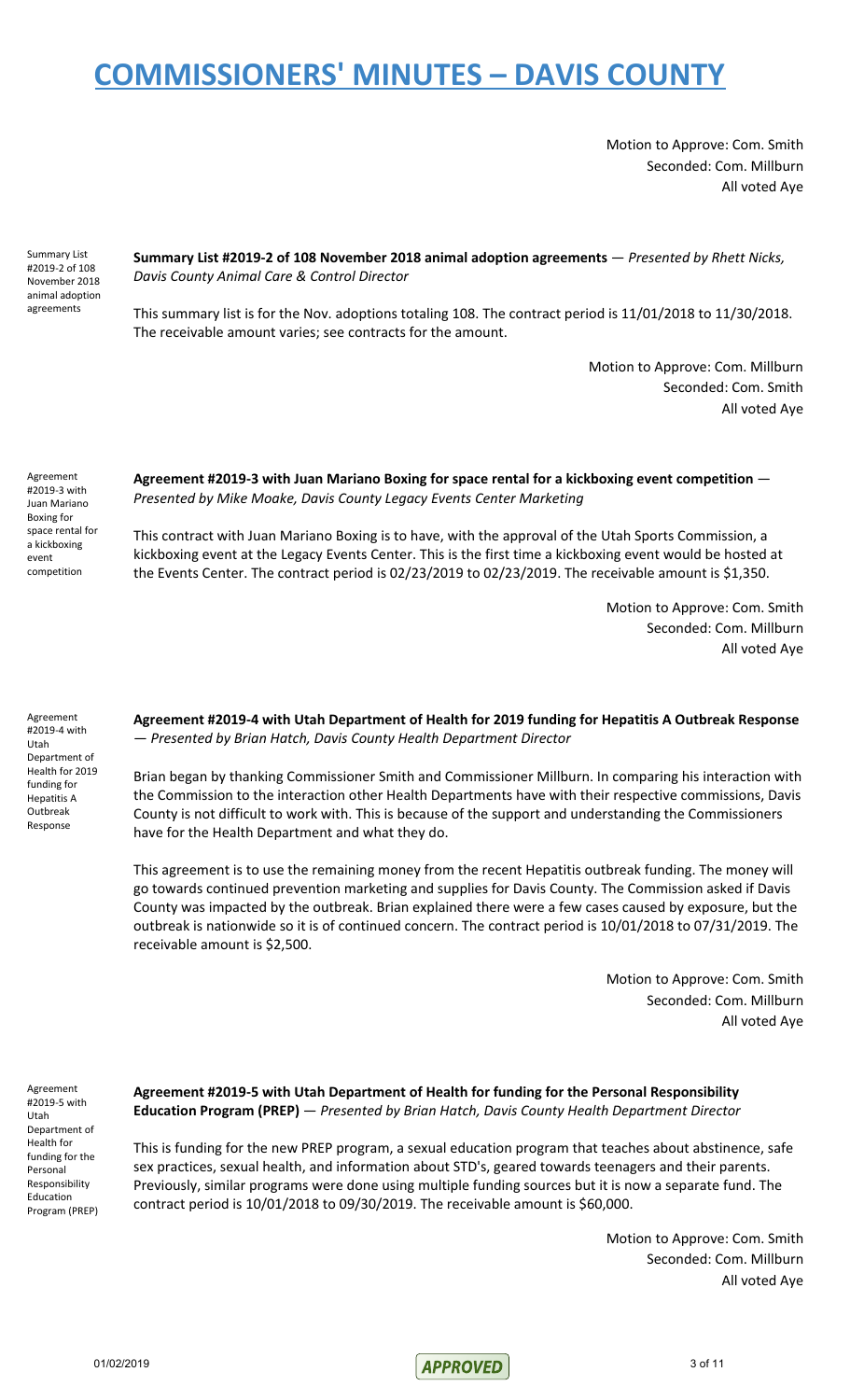Motion to Approve: Com. Smith Seconded: Com. Millburn All voted Aye

Summary List #2019-2 of 108 November 2018 animal adoption agreements

**Summary List #2019-2 of 108 November 2018 animal adoption agreements** — *Presented by Rhett Nicks, Davis County Animal Care & Control Director*

This summary list is for the Nov. adoptions totaling 108. The contract period is 11/01/2018 to 11/30/2018. The receivable amount varies; see contracts for the amount.

> Motion to Approve: Com. Millburn Seconded: Com. Smith All voted Aye

Agreement #2019-3 with Juan Mariano Boxing for space rental for a kickboxing event competition

**Agreement #2019-3 with Juan Mariano Boxing for space rental for a kickboxing event competition** — *Presented by Mike Moake, Davis County Legacy Events Center Marketing*

This contract with Juan Mariano Boxing is to have, with the approval of the Utah Sports Commission, a kickboxing event at the Legacy Events Center. This is the first time a kickboxing event would be hosted at the Events Center. The contract period is 02/23/2019 to 02/23/2019. The receivable amount is \$1,350.

> Motion to Approve: Com. Smith Seconded: Com. Millburn All voted Aye

Agreement #2019-4 with Utah Department of Health for 2019 funding for Hepatitis A Outbreak Response

**Agreement #2019-4 with Utah Department of Health for 2019 funding for Hepatitis A Outbreak Response** — *Presented by Brian Hatch, Davis County Health Department Director*

Brian began by thanking Commissioner Smith and Commissioner Millburn. In comparing his interaction with the Commission to the interaction other Health Departments have with their respective commissions, Davis County is not difficult to work with. This is because of the support and understanding the Commissioners have for the Health Department and what they do.

This agreement is to use the remaining money from the recent Hepatitis outbreak funding. The money will go towards continued prevention marketing and supplies for Davis County. The Commission asked if Davis County was impacted by the outbreak. Brian explained there were a few cases caused by exposure, but the outbreak is nationwide so it is of continued concern. The contract period is 10/01/2018 to 07/31/2019. The receivable amount is \$2,500.

> Motion to Approve: Com. Smith Seconded: Com. Millburn All voted Aye

Agreement #2019-5 with Utah Department of Health for funding for the Personal Responsibility Education Program (PREP)

**Agreement #2019-5 with Utah Department of Health for funding for the Personal Responsibility Education Program (PREP)** — *Presented by Brian Hatch, Davis County Health Department Director*

This is funding for the new PREP program, a sexual education program that teaches about abstinence, safe sex practices, sexual health, and information about STD's, geared towards teenagers and their parents. Previously, similar programs were done using multiple funding sources but it is now a separate fund. The contract period is 10/01/2018 to 09/30/2019. The receivable amount is \$60,000.

> Motion to Approve: Com. Smith Seconded: Com. Millburn All voted Aye

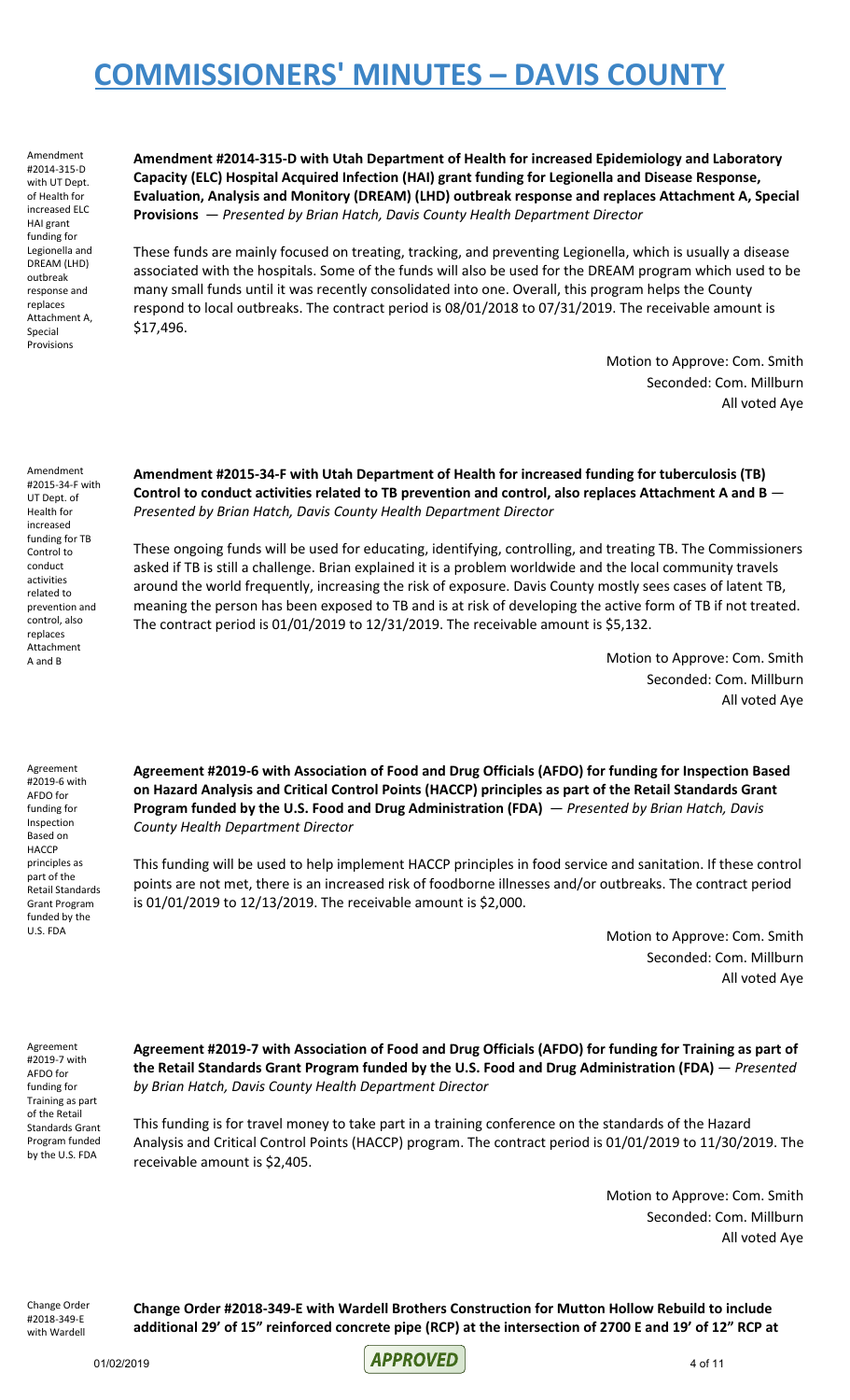Amendment #2014-315-D with UT Dept. of Health for increased ELC HAI grant funding for Legionella and DREAM (LHD) outbreak response and replaces Attachment A, Special Provisions

**Amendment #2014-315-D with Utah Department of Health for increased Epidemiology and Laboratory Capacity (ELC) Hospital Acquired Infection (HAI) grant funding for Legionella and Disease Response, Evaluation, Analysis and Monitory (DREAM) (LHD) outbreak response and replaces Attachment A, Special Provisions** — *Presented by Brian Hatch, Davis County Health Department Director*

These funds are mainly focused on treating, tracking, and preventing Legionella, which is usually a disease associated with the hospitals. Some of the funds will also be used for the DREAM program which used to be many small funds until it was recently consolidated into one. Overall, this program helps the County respond to local outbreaks. The contract period is 08/01/2018 to 07/31/2019. The receivable amount is \$17,496.

> Motion to Approve: Com. Smith Seconded: Com. Millburn All voted Aye

Amendment #2015-34-F with UT Dept. of Health for increased funding for TB Control to conduct activities related to prevention and control, also replaces Attachment A and B

**Amendment #2015-34-F with Utah Department of Health for increased funding for tuberculosis (TB) Control to conduct activities related to TB prevention and control, also replaces Attachment A and B** — *Presented by Brian Hatch, Davis County Health Department Director*

These ongoing funds will be used for educating, identifying, controlling, and treating TB. The Commissioners asked if TB is still a challenge. Brian explained it is a problem worldwide and the local community travels around the world frequently, increasing the risk of exposure. Davis County mostly sees cases of latent TB, meaning the person has been exposed to TB and is at risk of developing the active form of TB if not treated. The contract period is 01/01/2019 to 12/31/2019. The receivable amount is \$5,132.

> Motion to Approve: Com. Smith Seconded: Com. Millburn All voted Aye

Agreement #2019-6 with AFDO for funding for Inspection Based on **HACCP** principles as part of the Retail Standards Grant Program funded by the U.S. FDA

**Agreement #2019-6 with Association of Food and Drug Officials (AFDO) for funding for Inspection Based on Hazard Analysis and Critical Control Points (HACCP) principles as part of the Retail Standards Grant Program funded by the U.S. Food and Drug Administration (FDA)** — *Presented by Brian Hatch, Davis County Health Department Director*

This funding will be used to help implement HACCP principles in food service and sanitation. If these control points are not met, there is an increased risk of foodborne illnesses and/or outbreaks. The contract period is 01/01/2019 to 12/13/2019. The receivable amount is \$2,000.

> Motion to Approve: Com. Smith Seconded: Com. Millburn All voted Aye

Agreement #2019-7 with AFDO for funding for Training as part of the Retail Standards Grant Program funded by the U.S. FDA

**Agreement #2019-7 with Association of Food and Drug Officials (AFDO) for funding for Training as part of the Retail Standards Grant Program funded by the U.S. Food and Drug Administration (FDA)** — *Presented by Brian Hatch, Davis County Health Department Director*

This funding is for travel money to take part in a training conference on the standards of the Hazard Analysis and Critical Control Points (HACCP) program. The contract period is 01/01/2019 to 11/30/2019. The receivable amount is \$2,405.

> Motion to Approve: Com. Smith Seconded: Com. Millburn All voted Aye

Change Order #2018-349-E with Wardell

**Change Order #2018-349-E with Wardell Brothers Construction for Mutton Hollow Rebuild to include** additional 29' of 15" reinforced concrete pipe (RCP) at the intersection of 2700 E and 19' of 12" RCP at

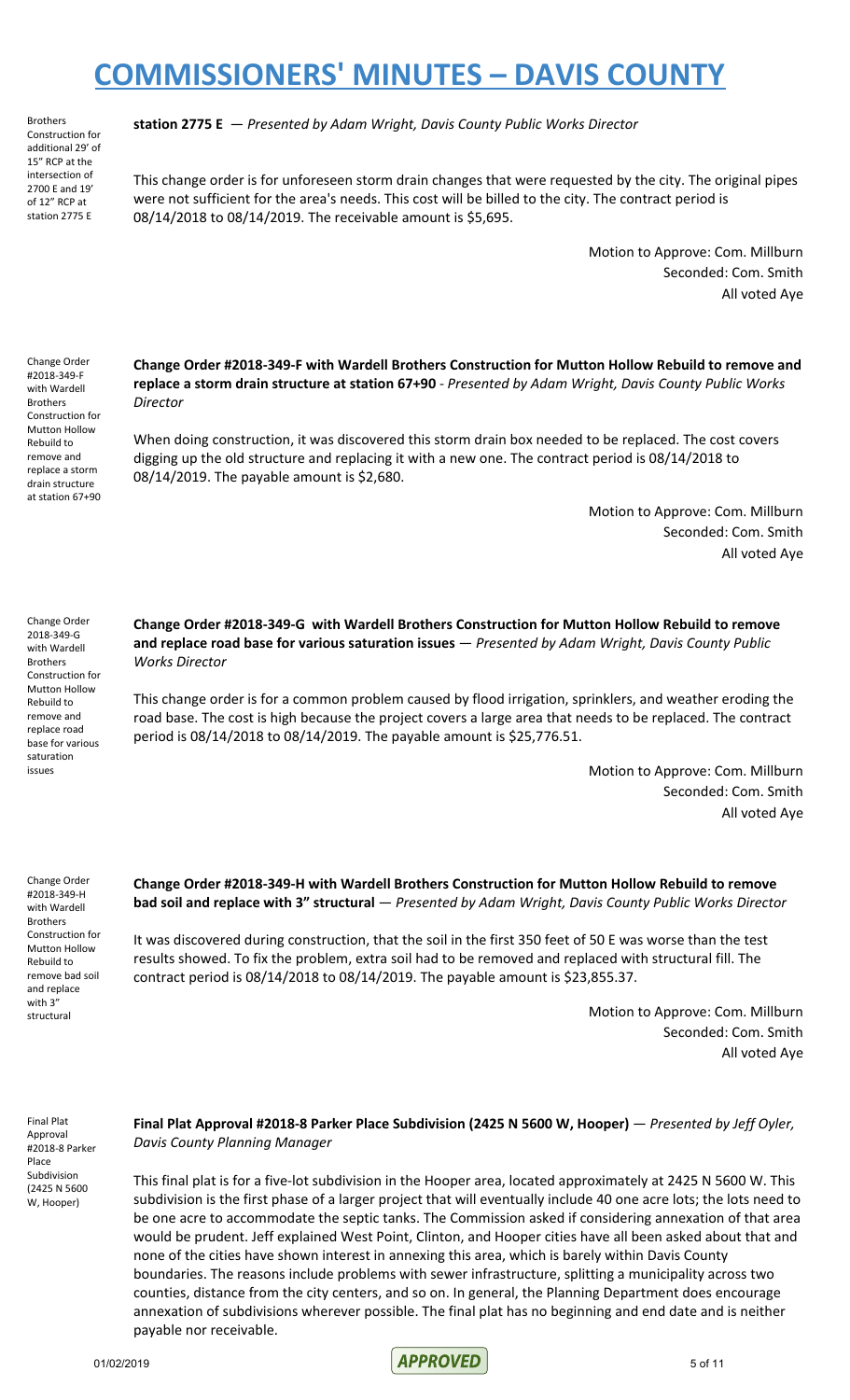Brothers Construction for additional 29' of 15" RCP at the intersection of 2700 E and 19' of 12" RCP at station 2775 E

**station 2775 E** — *Presented by Adam Wright, Davis County Public Works Director*

This change order is for unforeseen storm drain changes that were requested by the city. The original pipes were not sufficient for the area's needs. This cost will be billed to the city. The contract period is 08/14/2018 to 08/14/2019. The receivable amount is \$5,695.

> Motion to Approve: Com. Millburn Seconded: Com. Smith All voted Aye

Change Order #2018-349-F with Wardell Brothers Construction for Mutton Hollow Rebuild to remove and replace a storm drain structure at station 67+90

**Change Order #2018-349-F with Wardell Brothers Construction for Mutton Hollow Rebuild to remove and replace a storm drain structure at station 67+90** - *Presented by Adam Wright, Davis County Public Works Director*

When doing construction, it was discovered this storm drain box needed to be replaced. The cost covers digging up the old structure and replacing it with a new one. The contract period is 08/14/2018 to 08/14/2019. The payable amount is \$2,680.

> Motion to Approve: Com. Millburn Seconded: Com. Smith All voted Aye

Change Order 2018-349-G with Wardell Brothers Construction for Mutton Hollow Rebuild to remove and replace road base for various saturation issues

**Change Order #2018-349-G with Wardell Brothers Construction for Mutton Hollow Rebuild to remove and replace road base for various saturation issues** — *Presented by Adam Wright, Davis County Public Works Director*

This change order is for a common problem caused by flood irrigation, sprinklers, and weather eroding the road base. The cost is high because the project covers a large area that needs to be replaced. The contract period is 08/14/2018 to 08/14/2019. The payable amount is \$25,776.51.

> Motion to Approve: Com. Millburn Seconded: Com. Smith All voted Aye

Change Order #2018-349-H with Wardell Brothers Construction for Mutton Hollow Rebuild to remove bad soil and replace with 3" structural

**Change Order #2018-349-H with Wardell Brothers Construction for Mutton Hollow Rebuild to remove bad soil and replace with 3" structural** — *Presented by Adam Wright, Davis County Public Works Director*

It was discovered during construction, that the soil in the first 350 feet of 50 E was worse than the test results showed. To fix the problem, extra soil had to be removed and replaced with structural fill. The contract period is 08/14/2018 to 08/14/2019. The payable amount is \$23,855.37.

> Motion to Approve: Com. Millburn Seconded: Com. Smith All voted Aye

Final Plat Approval #2018-8 Parker Place Subdivision (2425 N 5600 W, Hooper)

**Final Plat Approval #2018-8 Parker Place Subdivision (2425 N 5600 W, Hooper)** — *Presented by Jeff Oyler, Davis County Planning Manager*

This final plat is for a five-lot subdivision in the Hooper area, located approximately at 2425 N 5600 W. This subdivision is the first phase of a larger project that will eventually include 40 one acre lots; the lots need to be one acre to accommodate the septic tanks. The Commission asked if considering annexation of that area would be prudent. Jeff explained West Point, Clinton, and Hooper cities have all been asked about that and none of the cities have shown interest in annexing this area, which is barely within Davis County boundaries. The reasons include problems with sewer infrastructure, splitting a municipality across two counties, distance from the city centers, and so on. In general, the Planning Department does encourage annexation of subdivisions wherever possible. The final plat has no beginning and end date and is neither payable nor receivable.

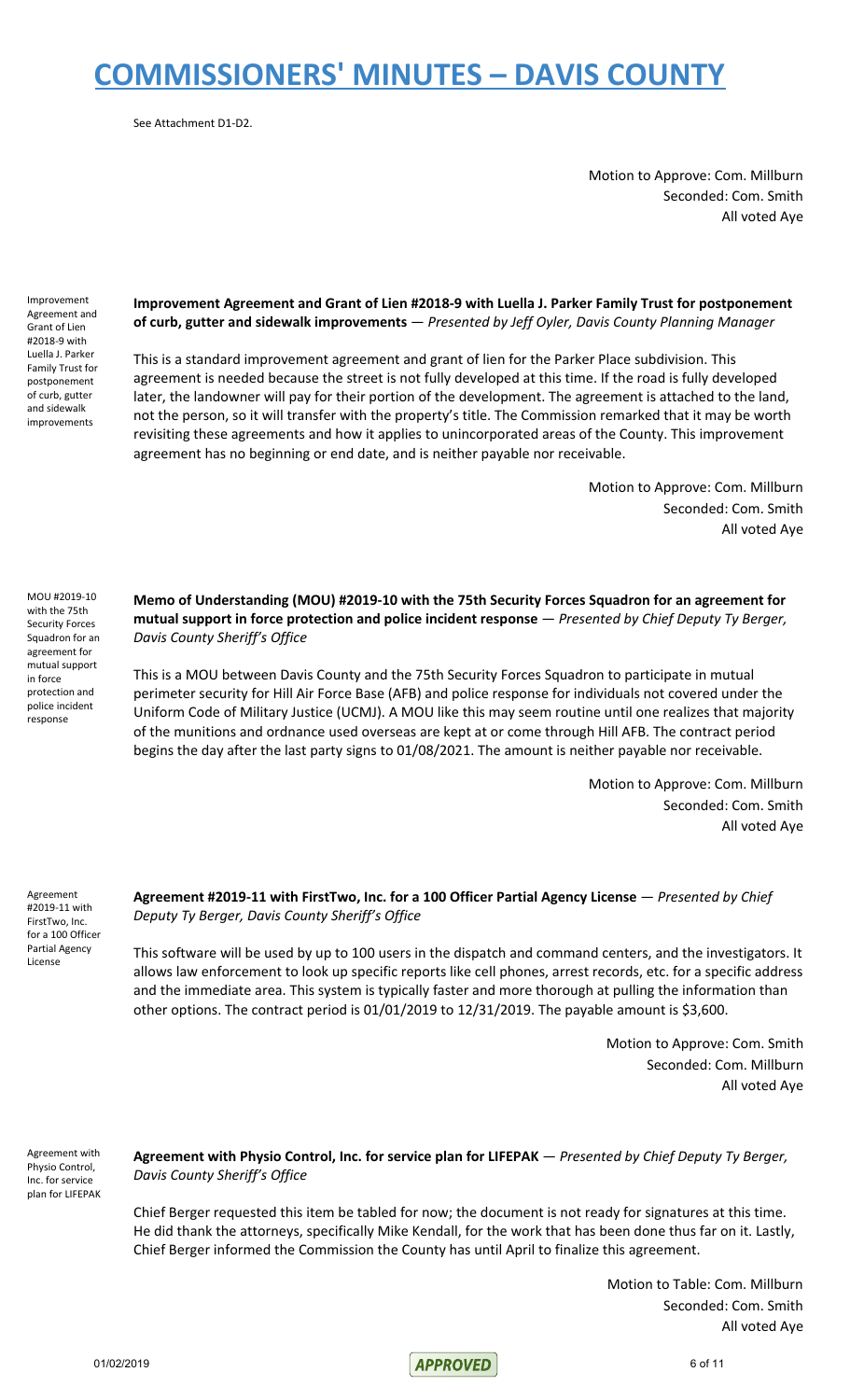See Attachment D1-D2.

Motion to Approve: Com. Millburn Seconded: Com. Smith All voted Aye

Improvement Agreement and Grant of Lien #2018-9 with Luella J. Parker Family Trust for postponement of curb, gutter and sidewalk improvements

#### **Improvement Agreement and Grant of Lien #2018-9 with Luella J. Parker Family Trust for postponement of curb, gutter and sidewalk improvements** — *Presented by Jeff Oyler, Davis County Planning Manager*

This is a standard improvement agreement and grant of lien for the Parker Place subdivision. This agreement is needed because the street is not fully developed at this time. If the road is fully developed later, the landowner will pay for their portion of the development. The agreement is attached to the land, not the person, so it will transfer with the property's title. The Commission remarked that it may be worth revisiting these agreements and how it applies to unincorporated areas of the County. This improvement agreement has no beginning or end date, and is neither payable nor receivable.

> Motion to Approve: Com. Millburn Seconded: Com. Smith All voted Aye

MOU #2019-10 with the 75th Security Forces Squadron for an agreement for mutual support in force protection and police incident response

**Memo of Understanding (MOU) #2019-10 with the 75th Security Forces Squadron for an agreement for mutual support in force protection and police incident response** — *Presented by Chief Deputy Ty Berger, Davis County Sheriff's Office*

This is a MOU between Davis County and the 75th Security Forces Squadron to participate in mutual perimeter security for Hill Air Force Base (AFB) and police response for individuals not covered under the Uniform Code of Military Justice (UCMJ). A MOU like this may seem routine until one realizes that majority of the munitions and ordnance used overseas are kept at or come through Hill AFB. The contract period begins the day after the last party signs to 01/08/2021. The amount is neither payable nor receivable.

> Motion to Approve: Com. Millburn Seconded: Com. Smith All voted Aye

Agreement #2019-11 with FirstTwo, Inc. for a 100 Officer Partial Agency License

**Agreement #2019-11 with FirstTwo, Inc. for a 100 Officer Partial Agency License** — *Presented by Chief Deputy Ty Berger, Davis County Sheriff's Office*

This software will be used by up to 100 users in the dispatch and command centers, and the investigators. It allows law enforcement to look up specific reports like cell phones, arrest records, etc. for a specific address and the immediate area. This system is typically faster and more thorough at pulling the information than other options. The contract period is 01/01/2019 to 12/31/2019. The payable amount is \$3,600.

> Motion to Approve: Com. Smith Seconded: Com. Millburn All voted Aye

Agreement with Physio Control, Inc. for service plan for LIFEPAK **Agreement with Physio Control, Inc. for service plan for LIFEPAK** — *Presented by Chief Deputy Ty Berger, Davis County Sheriff's Office*

Chief Berger requested this item be tabled for now; the document is not ready for signatures at this time. He did thank the attorneys, specifically Mike Kendall, for the work that has been done thus far on it. Lastly, Chief Berger informed the Commission the County has until April to finalize this agreement.

> Motion to Table: Com. Millburn Seconded: Com. Smith All voted Aye

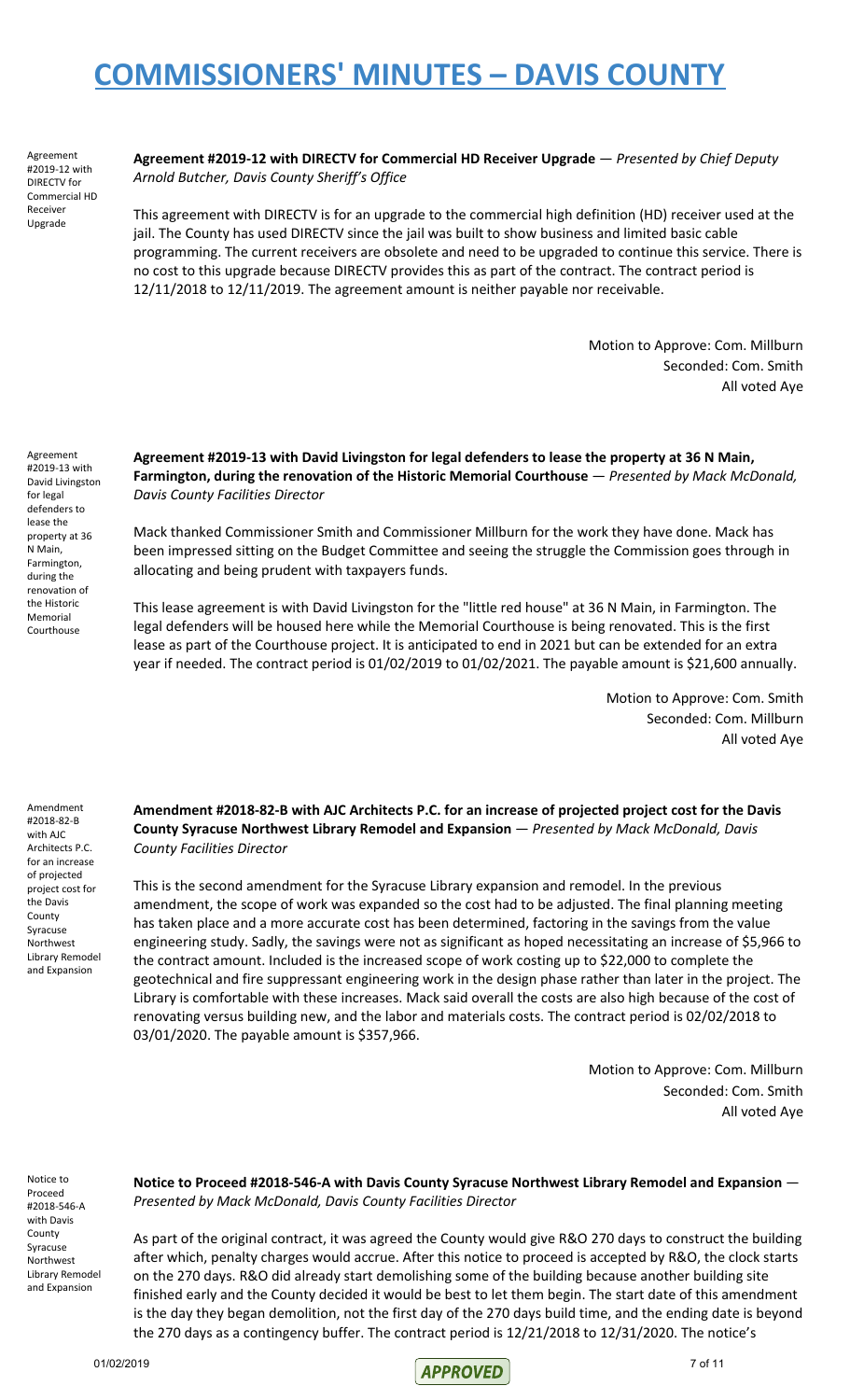Agreement #2019-12 with DIRECTV for Commercial HD Receiver Upgrade

**Agreement #2019-12 with DIRECTV for Commercial HD Receiver Upgrade** — *Presented by Chief Deputy Arnold Butcher, Davis County Sheriff's Office*

This agreement with DIRECTV is for an upgrade to the commercial high definition (HD) receiver used at the jail. The County has used DIRECTV since the jail was built to show business and limited basic cable programming. The current receivers are obsolete and need to be upgraded to continue this service. There is no cost to this upgrade because DIRECTV provides this as part of the contract. The contract period is 12/11/2018 to 12/11/2019. The agreement amount is neither payable nor receivable.

> Motion to Approve: Com. Millburn Seconded: Com. Smith All voted Aye

Agreement #2019-13 with David Livingston for legal defenders to lease the property at 36 N Main, Farmington, during the renovation of the Historic Memorial Courthouse

**Agreement #2019-13 with David Livingston for legal defenders to lease the property at 36 N Main, Farmington, during the renovation of the Historic Memorial Courthouse** — *Presented by Mack McDonald, Davis County Facilities Director*

Mack thanked Commissioner Smith and Commissioner Millburn for the work they have done. Mack has been impressed sitting on the Budget Committee and seeing the struggle the Commission goes through in allocating and being prudent with taxpayers funds.

This lease agreement is with David Livingston for the "little red house" at 36 N Main, in Farmington. The legal defenders will be housed here while the Memorial Courthouse is being renovated. This is the first lease as part of the Courthouse project. It is anticipated to end in 2021 but can be extended for an extra year if needed. The contract period is 01/02/2019 to 01/02/2021. The payable amount is \$21,600 annually.

> Motion to Approve: Com. Smith Seconded: Com. Millburn All voted Aye

Amendment #2018-82-B with AJC Architects P.C. for an increase of projected project cost for the Davis County Syracuse Northwest Library Remodel and Expansion

**Amendment #2018-82-B with AJC Architects P.C. for an increase of projected project cost for the Davis County Syracuse Northwest Library Remodel and Expansion** — *Presented by Mack McDonald, Davis County Facilities Director*

This is the second amendment for the Syracuse Library expansion and remodel. In the previous amendment, the scope of work was expanded so the cost had to be adjusted. The final planning meeting has taken place and a more accurate cost has been determined, factoring in the savings from the value engineering study. Sadly, the savings were not as significant as hoped necessitating an increase of \$5,966 to the contract amount. Included is the increased scope of work costing up to \$22,000 to complete the geotechnical and fire suppressant engineering work in the design phase rather than later in the project. The Library is comfortable with these increases. Mack said overall the costs are also high because of the cost of renovating versus building new, and the labor and materials costs. The contract period is 02/02/2018 to 03/01/2020. The payable amount is \$357,966.

> Motion to Approve: Com. Millburn Seconded: Com. Smith All voted Aye

Notice to Proceed #2018-546-A with Davis County Syracuse Northwest Library Remodel and Expansion

**Notice to Proceed #2018-546-A with Davis County Syracuse Northwest Library Remodel and Expansion** — *Presented by Mack McDonald, Davis County Facilities Director*

As part of the original contract, it was agreed the County would give R&O 270 days to construct the building after which, penalty charges would accrue. After this notice to proceed is accepted by R&O, the clock starts on the 270 days. R&O did already start demolishing some of the building because another building site finished early and the County decided it would be best to let them begin. The start date of this amendment is the day they began demolition, not the first day of the 270 days build time, and the ending date is beyond the 270 days as a contingency buffer. The contract period is 12/21/2018 to 12/31/2020. The notice's

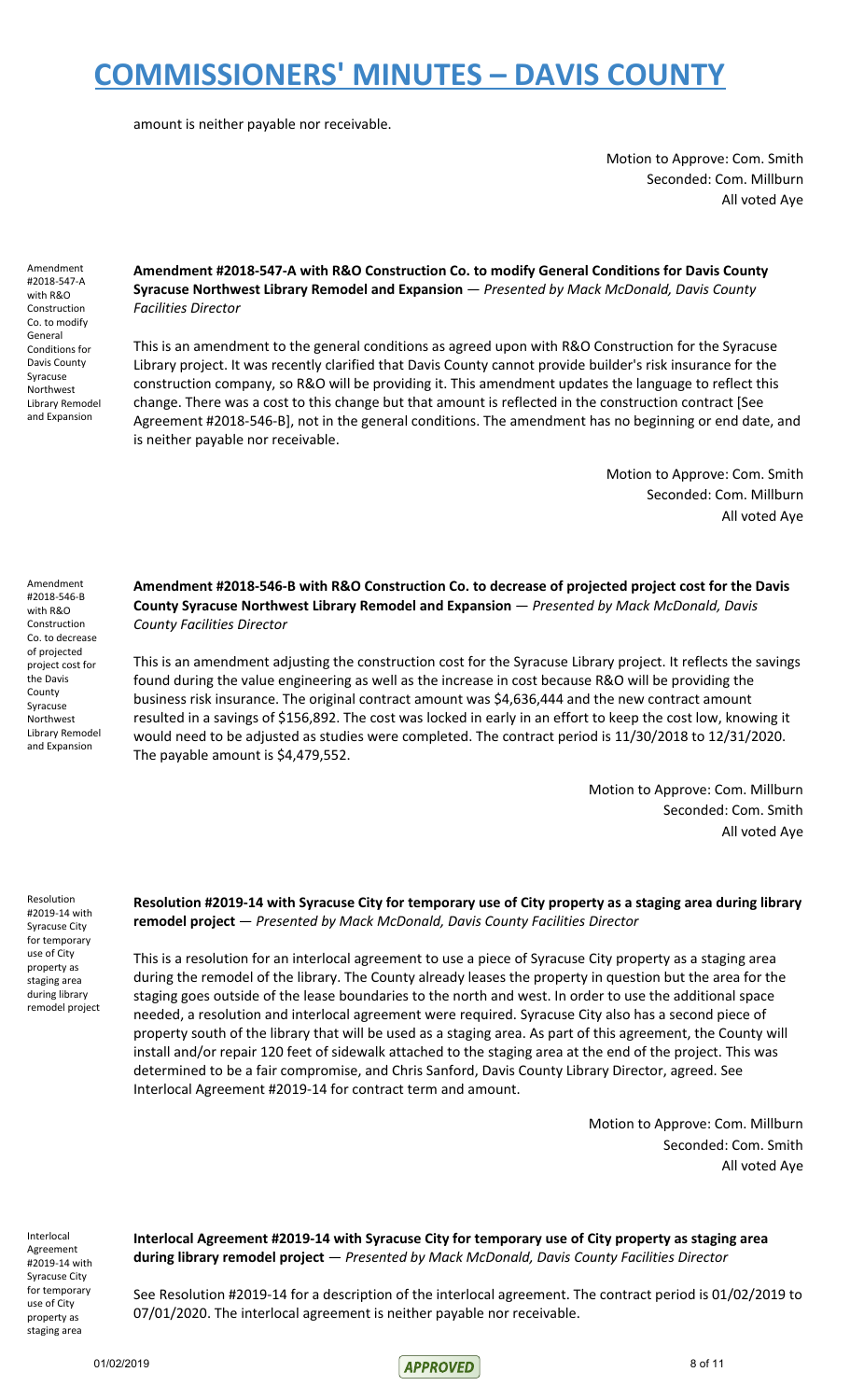amount is neither payable nor receivable.

Motion to Approve: Com. Smith Seconded: Com. Millburn All voted Aye

Amendment #2018-547-A with R&O Construction Co. to modify General Conditions for Davis County Syracuse Northwest Library Remodel and Expansion

**Amendment #2018-547-A with R&O Construction Co. to modify General Conditions for Davis County Syracuse Northwest Library Remodel and Expansion** — *Presented by Mack McDonald, Davis County Facilities Director*

This is an amendment to the general conditions as agreed upon with R&O Construction for the Syracuse Library project. It was recently clarified that Davis County cannot provide builder's risk insurance for the construction company, so R&O will be providing it. This amendment updates the language to reflect this change. There was a cost to this change but that amount is reflected in the construction contract [See Agreement #2018-546-B], not in the general conditions. The amendment has no beginning or end date, and is neither payable nor receivable.

> Motion to Approve: Com. Smith Seconded: Com. Millburn All voted Aye

Amendment #2018-546-B with R&O Construction Co. to decrease of projected project cost for the Davis County Syracuse Northwest Library Remodel and Expansion

**Amendment #2018-546-B with R&O Construction Co. to decrease of projected project cost for the Davis County Syracuse Northwest Library Remodel and Expansion** — *Presented by Mack McDonald, Davis County Facilities Director*

This is an amendment adjusting the construction cost for the Syracuse Library project. It reflects the savings found during the value engineering as well as the increase in cost because R&O will be providing the business risk insurance. The original contract amount was \$4,636,444 and the new contract amount resulted in a savings of \$156,892. The cost was locked in early in an effort to keep the cost low, knowing it would need to be adjusted as studies were completed. The contract period is 11/30/2018 to 12/31/2020. The payable amount is \$4,479,552.

> Motion to Approve: Com. Millburn Seconded: Com. Smith All voted Aye

Resolution #2019-14 with Syracuse City for temporary use of City property as staging area during library remodel project

Resolution #2019-14 with Syracuse City for temporary use of City property as a staging area during library **remodel project** — *Presented by Mack McDonald, Davis County Facilities Director*

This is a resolution for an interlocal agreement to use a piece of Syracuse City property as a staging area during the remodel of the library. The County already leases the property in question but the area for the staging goes outside of the lease boundaries to the north and west. In order to use the additional space needed, a resolution and interlocal agreement were required. Syracuse City also has a second piece of property south of the library that will be used as a staging area. As part of this agreement, the County will install and/or repair 120 feet of sidewalk attached to the staging area at the end of the project. This was determined to be a fair compromise, and Chris Sanford, Davis County Library Director, agreed. See Interlocal Agreement #2019-14 for contract term and amount.

> Motion to Approve: Com. Millburn Seconded: Com. Smith All voted Aye

Interlocal Agreement #2019-14 with Syracuse City for temporary use of City property as staging area

**Interlocal Agreement #2019-14 with Syracuse City for temporary use of City property as staging area during library remodel project** — *Presented by Mack McDonald, Davis County Facilities Director*

See Resolution #2019-14 for a description of the interlocal agreement. The contract period is 01/02/2019 to 07/01/2020. The interlocal agreement is neither payable nor receivable.

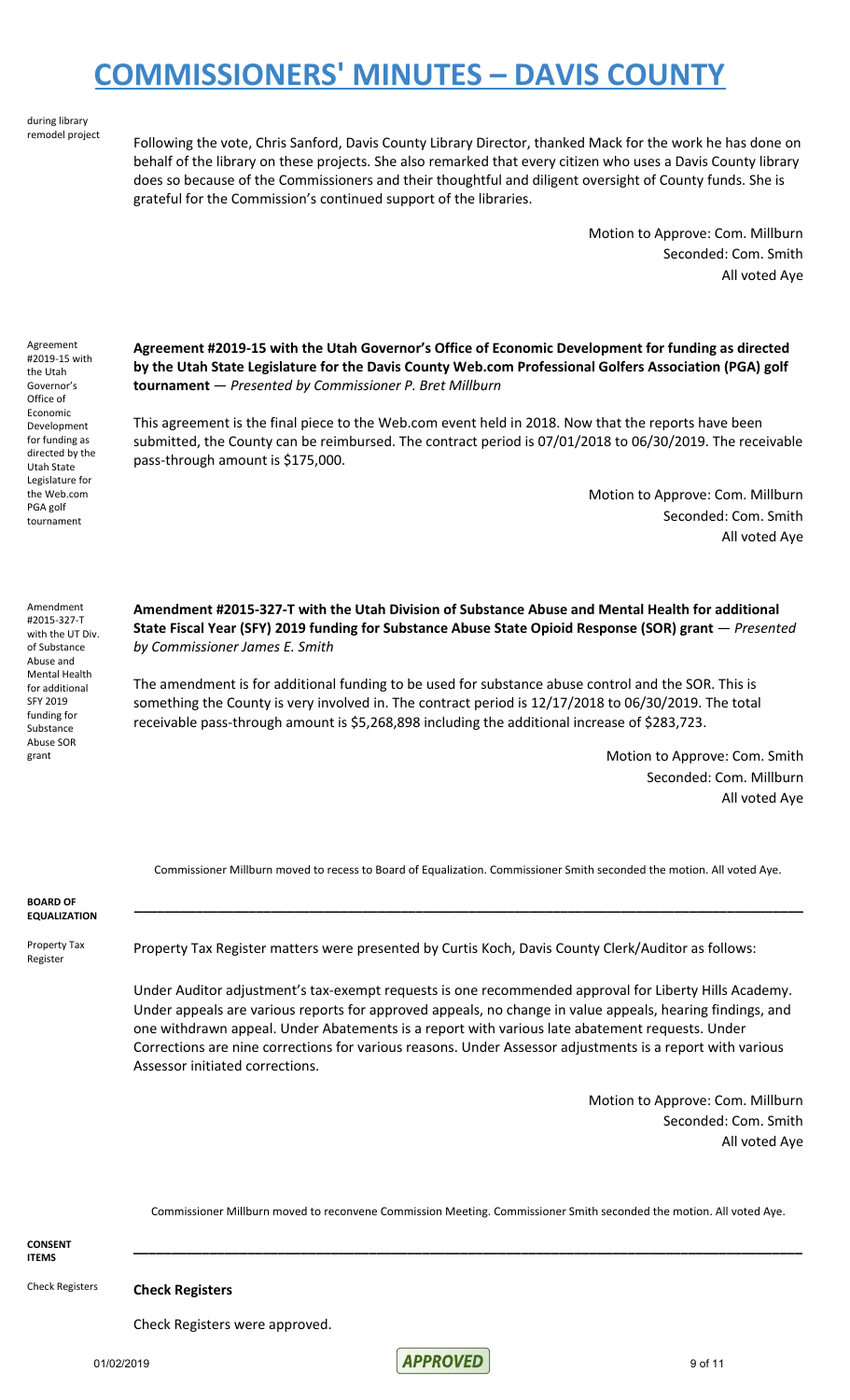#### during library remodel project

Following the vote, Chris Sanford, Davis County Library Director, thanked Mack for the work he has done on behalf of the library on these projects. She also remarked that every citizen who uses a Davis County library does so because of the Commissioners and their thoughtful and diligent oversight of County funds. She is grateful for the Commission's continued support of the libraries.

> Motion to Approve: Com. Millburn Seconded: Com. Smith All voted Aye

Agreement #2019-15 with the Utah Governor's Office of Economic Development for funding as directed by the Utah State Legislature for the Web.com PGA golf tournament

**Agreement #2019-15 with the Utah Governor's Office of Economic Development for funding as directed by the Utah State Legislature for the Davis County Web.com Professional Golfers Association (PGA) golf tournament** — *Presented by Commissioner P. Bret Millburn*

This agreement is the final piece to the Web.com event held in 2018. Now that the reports have been submitted, the County can be reimbursed. The contract period is 07/01/2018 to 06/30/2019. The receivable pass-through amount is \$175,000.

> Motion to Approve: Com. Millburn Seconded: Com. Smith All voted Aye

Amendment #2015-327-T with the UT Div. of Substance Abuse and Mental Health for additional SFY 2019 funding for Substance Abuse SOR grant

**Amendment #2015-327-T with the Utah Division of Substance Abuse and Mental Health for additional State Fiscal Year (SFY) 2019 funding for Substance Abuse State Opioid Response (SOR) grant** — *Presented by Commissioner James E. Smith*

The amendment is for additional funding to be used for substance abuse control and the SOR. This is something the County is very involved in. The contract period is 12/17/2018 to 06/30/2019. The total receivable pass-through amount is \$5,268,898 including the additional increase of \$283,723.

> Motion to Approve: Com. Smith Seconded: Com. Millburn All voted Aye

Commissioner Millburn moved to recess to Board of Equalization. Commissioner Smith seconded the motion. All voted Aye.

**\_\_\_\_\_\_\_\_\_\_\_\_\_\_\_\_\_\_\_\_\_\_\_\_\_\_\_\_\_\_\_\_\_\_\_\_\_\_\_\_\_\_\_\_\_\_\_\_\_\_\_\_\_\_\_\_\_\_\_\_\_\_\_\_\_\_\_\_\_\_\_\_\_\_\_\_\_\_\_\_\_\_\_\_\_\_\_\_**

**BOARD OF EQUALIZATION**

Property Tax Register

Property Tax Register matters were presented by Curtis Koch, Davis County Clerk/Auditor as follows:

Under Auditor adjustment's tax-exempt requests is one recommended approval for Liberty Hills Academy. Under appeals are various reports for approved appeals, no change in value appeals, hearing findings, and one withdrawn appeal. Under Abatements is a report with various late abatement requests. Under Corrections are nine corrections for various reasons. Under Assessor adjustments is a report with various Assessor initiated corrections.

> Motion to Approve: Com. Millburn Seconded: Com. Smith All voted Aye

Commissioner Millburn moved to reconvene Commission Meeting. Commissioner Smith seconded the motion. All voted Aye.

**\_\_\_\_\_\_\_\_\_\_\_\_\_\_\_\_\_\_\_\_\_\_\_\_\_\_\_\_\_\_\_\_\_\_\_\_\_\_\_\_\_\_\_\_\_\_\_\_\_\_\_\_\_\_\_\_\_\_\_\_\_\_\_\_\_\_\_\_\_\_\_\_\_\_\_\_\_\_\_\_\_\_\_\_\_\_\_\_**

**CONSENT ITEMS**

Check Registers **Check Registers**

Check Registers were approved.

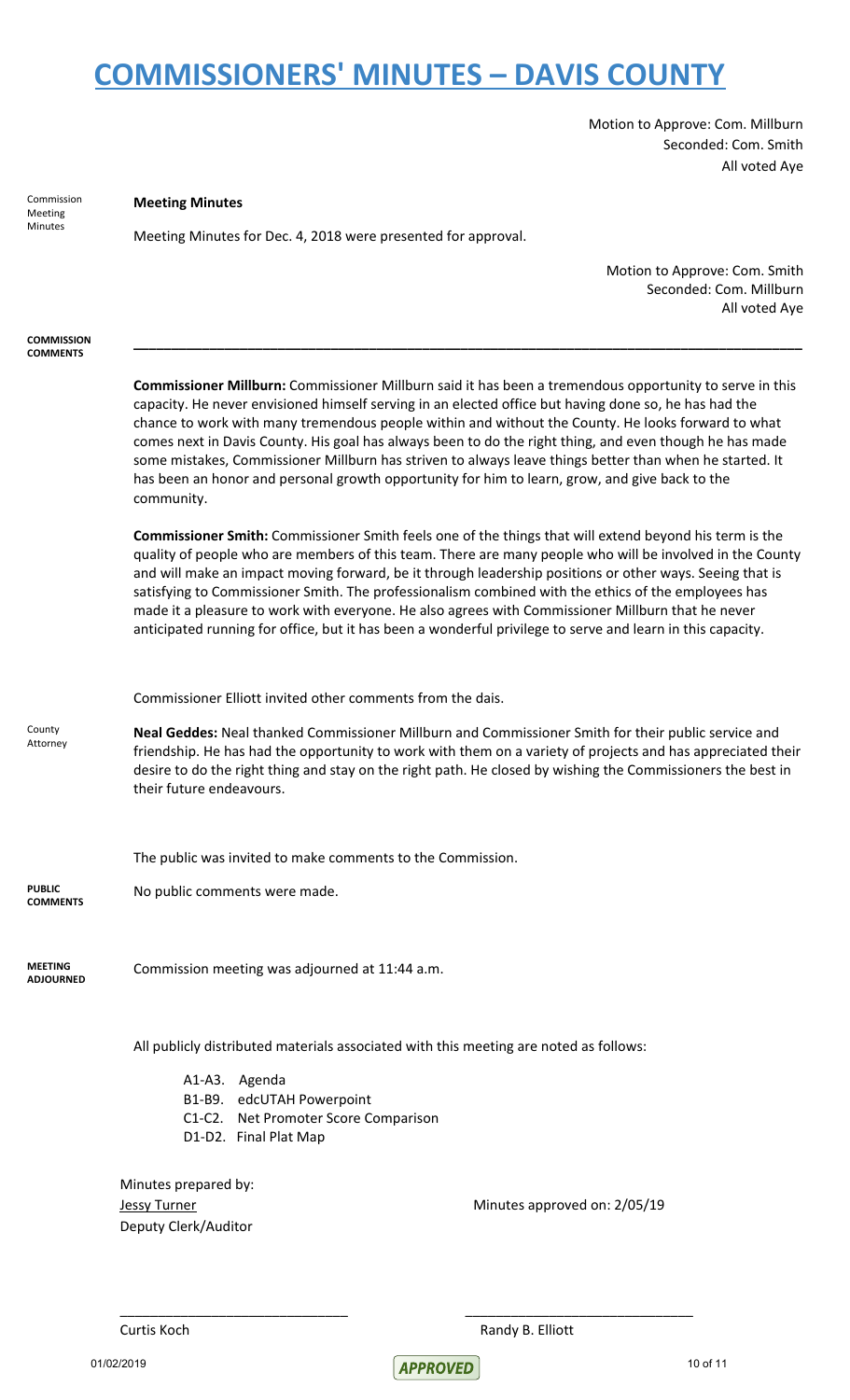Motion to Approve: Com. Millburn Seconded: Com. Smith All voted Aye

| Commission<br>Meeting<br>Minutes     | <b>Meeting Minutes</b>                                                                                                                                                                                                                                                                                                                                                                                                                                                                                                                                                                                                                                          |  |
|--------------------------------------|-----------------------------------------------------------------------------------------------------------------------------------------------------------------------------------------------------------------------------------------------------------------------------------------------------------------------------------------------------------------------------------------------------------------------------------------------------------------------------------------------------------------------------------------------------------------------------------------------------------------------------------------------------------------|--|
|                                      | Meeting Minutes for Dec. 4, 2018 were presented for approval.                                                                                                                                                                                                                                                                                                                                                                                                                                                                                                                                                                                                   |  |
|                                      | Motion to Approve: Com. Smith                                                                                                                                                                                                                                                                                                                                                                                                                                                                                                                                                                                                                                   |  |
|                                      | Seconded: Com. Millburn                                                                                                                                                                                                                                                                                                                                                                                                                                                                                                                                                                                                                                         |  |
|                                      | All voted Aye                                                                                                                                                                                                                                                                                                                                                                                                                                                                                                                                                                                                                                                   |  |
| <b>COMMISSION</b><br><b>COMMENTS</b> |                                                                                                                                                                                                                                                                                                                                                                                                                                                                                                                                                                                                                                                                 |  |
|                                      | Commissioner Millburn: Commissioner Millburn said it has been a tremendous opportunity to serve in this<br>capacity. He never envisioned himself serving in an elected office but having done so, he has had the<br>chance to work with many tremendous people within and without the County. He looks forward to what<br>comes next in Davis County. His goal has always been to do the right thing, and even though he has made<br>some mistakes, Commissioner Millburn has striven to always leave things better than when he started. It<br>has been an honor and personal growth opportunity for him to learn, grow, and give back to the<br>community.    |  |
|                                      | <b>Commissioner Smith:</b> Commissioner Smith feels one of the things that will extend beyond his term is the<br>quality of people who are members of this team. There are many people who will be involved in the County<br>and will make an impact moving forward, be it through leadership positions or other ways. Seeing that is<br>satisfying to Commissioner Smith. The professionalism combined with the ethics of the employees has<br>made it a pleasure to work with everyone. He also agrees with Commissioner Millburn that he never<br>anticipated running for office, but it has been a wonderful privilege to serve and learn in this capacity. |  |
|                                      | Commissioner Elliott invited other comments from the dais.                                                                                                                                                                                                                                                                                                                                                                                                                                                                                                                                                                                                      |  |
| County<br>Attorney                   | Neal Geddes: Neal thanked Commissioner Millburn and Commissioner Smith for their public service and<br>friendship. He has had the opportunity to work with them on a variety of projects and has appreciated their<br>desire to do the right thing and stay on the right path. He closed by wishing the Commissioners the best in<br>their future endeavours.                                                                                                                                                                                                                                                                                                   |  |
|                                      | The public was invited to make comments to the Commission.                                                                                                                                                                                                                                                                                                                                                                                                                                                                                                                                                                                                      |  |
| <b>PUBLIC</b><br><b>COMMENTS</b>     | No public comments were made.                                                                                                                                                                                                                                                                                                                                                                                                                                                                                                                                                                                                                                   |  |
| <b>MEETING</b><br><b>ADJOURNED</b>   | Commission meeting was adjourned at 11:44 a.m.                                                                                                                                                                                                                                                                                                                                                                                                                                                                                                                                                                                                                  |  |
|                                      | All publicly distributed materials associated with this meeting are noted as follows:                                                                                                                                                                                                                                                                                                                                                                                                                                                                                                                                                                           |  |
|                                      | A1-A3. Agenda                                                                                                                                                                                                                                                                                                                                                                                                                                                                                                                                                                                                                                                   |  |
|                                      | B1-B9. edcUTAH Powerpoint<br>C1-C2. Net Promoter Score Comparison                                                                                                                                                                                                                                                                                                                                                                                                                                                                                                                                                                                               |  |
|                                      | D1-D2. Final Plat Map                                                                                                                                                                                                                                                                                                                                                                                                                                                                                                                                                                                                                                           |  |
|                                      |                                                                                                                                                                                                                                                                                                                                                                                                                                                                                                                                                                                                                                                                 |  |
|                                      | Minutes prepared by:<br>Minutes approved on: 2/05/19<br><b>Jessy Turner</b>                                                                                                                                                                                                                                                                                                                                                                                                                                                                                                                                                                                     |  |
|                                      | Deputy Clerk/Auditor                                                                                                                                                                                                                                                                                                                                                                                                                                                                                                                                                                                                                                            |  |
|                                      |                                                                                                                                                                                                                                                                                                                                                                                                                                                                                                                                                                                                                                                                 |  |
|                                      |                                                                                                                                                                                                                                                                                                                                                                                                                                                                                                                                                                                                                                                                 |  |

Curtis Koch **Randy B. Elliott** Randy B. Elliott

01/02/2019 10 of 11

\_\_\_\_\_\_\_\_\_\_\_\_\_\_\_\_\_\_\_\_\_\_\_\_\_\_\_\_\_\_ \_\_\_\_\_\_\_\_\_\_\_\_\_\_\_\_\_\_\_\_\_\_\_\_\_\_\_\_\_\_